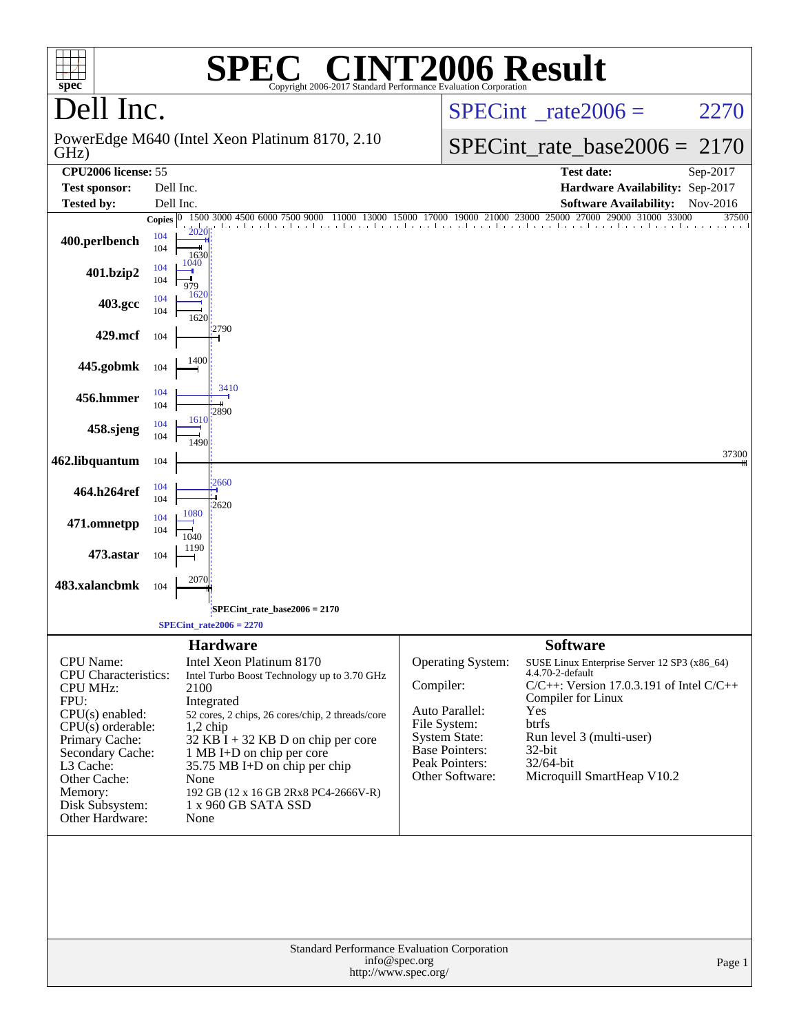| spec                                                                                                                                                                                                                       |              |                      | <b>SPEC<sup>®</sup></b> CINT2006 Result<br>Copyright 2006-2017 Standard Performance Evaluation Corporation                                                                                                                                                                                                                                    |               |                                                                                                                                    |                                                                                                                                                                                                                                                             |                                         |
|----------------------------------------------------------------------------------------------------------------------------------------------------------------------------------------------------------------------------|--------------|----------------------|-----------------------------------------------------------------------------------------------------------------------------------------------------------------------------------------------------------------------------------------------------------------------------------------------------------------------------------------------|---------------|------------------------------------------------------------------------------------------------------------------------------------|-------------------------------------------------------------------------------------------------------------------------------------------------------------------------------------------------------------------------------------------------------------|-----------------------------------------|
| Dell Inc.                                                                                                                                                                                                                  |              |                      |                                                                                                                                                                                                                                                                                                                                               |               |                                                                                                                                    | $SPECint^{\circ}$ rate $2006 =$                                                                                                                                                                                                                             | 2270                                    |
| GHz)                                                                                                                                                                                                                       |              |                      | PowerEdge M640 (Intel Xeon Platinum 8170, 2.10)                                                                                                                                                                                                                                                                                               |               |                                                                                                                                    | $SPECint_rate\_base2006 =$                                                                                                                                                                                                                                  | 2170                                    |
| CPU2006 license: 55                                                                                                                                                                                                        |              |                      |                                                                                                                                                                                                                                                                                                                                               |               |                                                                                                                                    | <b>Test date:</b>                                                                                                                                                                                                                                           | Sep-2017                                |
| <b>Test sponsor:</b>                                                                                                                                                                                                       |              | Dell Inc.            |                                                                                                                                                                                                                                                                                                                                               |               |                                                                                                                                    | Hardware Availability: Sep-2017                                                                                                                                                                                                                             |                                         |
| <b>Tested by:</b>                                                                                                                                                                                                          | Copies $ 0 $ | Dell Inc.            | 1500 3000 4500 6000 7500<br>11000                                                                                                                                                                                                                                                                                                             |               | 13000 15000 17000 19000 21000 23000 25000                                                                                          | <b>Software Availability:</b><br>27000 29000 31000                                                                                                                                                                                                          | Nov-2016<br>$\overline{3}3000$<br>37500 |
| 400.perlbench                                                                                                                                                                                                              | 104<br>104   | 2020<br>1630         |                                                                                                                                                                                                                                                                                                                                               |               |                                                                                                                                    |                                                                                                                                                                                                                                                             |                                         |
| 401.bzip2                                                                                                                                                                                                                  | 104<br>104   | 1040<br>979          |                                                                                                                                                                                                                                                                                                                                               |               |                                                                                                                                    |                                                                                                                                                                                                                                                             |                                         |
| 403.gcc                                                                                                                                                                                                                    | 104<br>104   | 1620                 |                                                                                                                                                                                                                                                                                                                                               |               |                                                                                                                                    |                                                                                                                                                                                                                                                             |                                         |
| 429.mcf                                                                                                                                                                                                                    | 104          | 1620                 | 2790                                                                                                                                                                                                                                                                                                                                          |               |                                                                                                                                    |                                                                                                                                                                                                                                                             |                                         |
| 445.gobmk                                                                                                                                                                                                                  | 104          | 1400                 |                                                                                                                                                                                                                                                                                                                                               |               |                                                                                                                                    |                                                                                                                                                                                                                                                             |                                         |
| 456.hmmer                                                                                                                                                                                                                  | 104<br>104   | 1610                 | 3410<br>2890                                                                                                                                                                                                                                                                                                                                  |               |                                                                                                                                    |                                                                                                                                                                                                                                                             |                                         |
| 458.sjeng                                                                                                                                                                                                                  | 104<br>104   | 1490                 |                                                                                                                                                                                                                                                                                                                                               |               |                                                                                                                                    |                                                                                                                                                                                                                                                             | 37300                                   |
| 462.libquantum                                                                                                                                                                                                             | 104          |                      |                                                                                                                                                                                                                                                                                                                                               |               |                                                                                                                                    |                                                                                                                                                                                                                                                             |                                         |
| 464.h264ref                                                                                                                                                                                                                | 104<br>104   | 1080                 | 2660<br>2620                                                                                                                                                                                                                                                                                                                                  |               |                                                                                                                                    |                                                                                                                                                                                                                                                             |                                         |
| 471.omnetpp                                                                                                                                                                                                                | 104<br>104   | 1040                 |                                                                                                                                                                                                                                                                                                                                               |               |                                                                                                                                    |                                                                                                                                                                                                                                                             |                                         |
| 473.astar                                                                                                                                                                                                                  | 104          | 1190                 |                                                                                                                                                                                                                                                                                                                                               |               |                                                                                                                                    |                                                                                                                                                                                                                                                             |                                         |
| 483.xalancbmk                                                                                                                                                                                                              | 104          | 2070                 |                                                                                                                                                                                                                                                                                                                                               |               |                                                                                                                                    |                                                                                                                                                                                                                                                             |                                         |
|                                                                                                                                                                                                                            |              |                      | SPECint_rate_base2006 = 2170                                                                                                                                                                                                                                                                                                                  |               |                                                                                                                                    |                                                                                                                                                                                                                                                             |                                         |
|                                                                                                                                                                                                                            |              |                      | $SPECint_rate2006 = 2270$                                                                                                                                                                                                                                                                                                                     |               |                                                                                                                                    |                                                                                                                                                                                                                                                             |                                         |
| CPU Name:<br>CPU Characteristics:<br><b>CPU MHz:</b><br>FPU:<br>CPU(s) enabled:<br>$CPU(s)$ orderable:<br>Primary Cache:<br>Secondary Cache:<br>L3 Cache:<br>Other Cache:<br>Memory:<br>Disk Subsystem:<br>Other Hardware: |              | 2100<br>None<br>None | <b>Hardware</b><br>Intel Xeon Platinum 8170<br>Intel Turbo Boost Technology up to 3.70 GHz<br>Integrated<br>52 cores, 2 chips, 26 cores/chip, 2 threads/core<br>$1,2$ chip<br>32 KB I + 32 KB D on chip per core<br>1 MB I+D on chip per core<br>35.75 MB I+D on chip per chip<br>192 GB (12 x 16 GB 2Rx8 PC4-2666V-R)<br>1 x 960 GB SATA SSD | Compiler:     | Operating System:<br>Auto Parallel:<br>File System:<br><b>System State:</b><br>Base Pointers:<br>Peak Pointers:<br>Other Software: | <b>Software</b><br>SUSE Linux Enterprise Server 12 SP3 (x86_64)<br>4.4.70-2-default<br>$C/C++$ : Version 17.0.3.191 of Intel $C/C++$<br>Compiler for Linux<br>Yes<br>btrfs<br>Run level 3 (multi-user)<br>32-bit<br>32/64-bit<br>Microquill SmartHeap V10.2 |                                         |
|                                                                                                                                                                                                                            |              |                      | Standard Performance Evaluation Corporation<br>http://www.spec.org/                                                                                                                                                                                                                                                                           | info@spec.org |                                                                                                                                    |                                                                                                                                                                                                                                                             | Page 1                                  |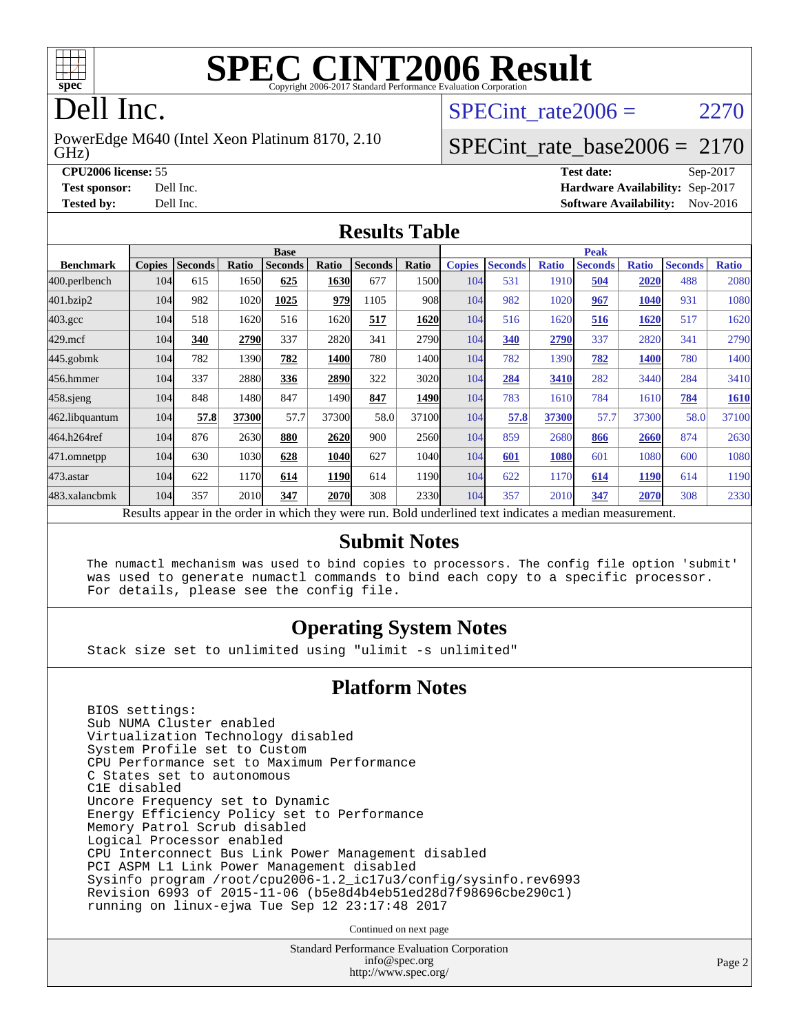

## Dell Inc.

GHz) PowerEdge M640 (Intel Xeon Platinum 8170, 2.10 SPECint rate  $2006 = 2270$ 

#### [SPECint\\_rate\\_base2006 =](http://www.spec.org/auto/cpu2006/Docs/result-fields.html#SPECintratebase2006) 2170

**[CPU2006 license:](http://www.spec.org/auto/cpu2006/Docs/result-fields.html#CPU2006license)** 55 **[Test date:](http://www.spec.org/auto/cpu2006/Docs/result-fields.html#Testdate)** Sep-2017 **[Test sponsor:](http://www.spec.org/auto/cpu2006/Docs/result-fields.html#Testsponsor)** Dell Inc. **[Hardware Availability:](http://www.spec.org/auto/cpu2006/Docs/result-fields.html#HardwareAvailability)** Sep-2017 **[Tested by:](http://www.spec.org/auto/cpu2006/Docs/result-fields.html#Testedby)** Dell Inc. **[Software Availability:](http://www.spec.org/auto/cpu2006/Docs/result-fields.html#SoftwareAvailability)** Nov-2016

#### **[Results Table](http://www.spec.org/auto/cpu2006/Docs/result-fields.html#ResultsTable)**

| <b>Base</b>        |                                                                                                          |                |       |                |       |                |               | <b>Peak</b>   |                |              |                |              |                |              |
|--------------------|----------------------------------------------------------------------------------------------------------|----------------|-------|----------------|-------|----------------|---------------|---------------|----------------|--------------|----------------|--------------|----------------|--------------|
| <b>Benchmark</b>   | <b>Copies</b>                                                                                            | <b>Seconds</b> | Ratio | <b>Seconds</b> | Ratio | <b>Seconds</b> | Ratio         | <b>Copies</b> | <b>Seconds</b> | <b>Ratio</b> | <b>Seconds</b> | <b>Ratio</b> | <b>Seconds</b> | <b>Ratio</b> |
| 400.perlbench      | 104                                                                                                      | 615            | 1650  | 625            | 1630  | 677            | 1500l         | 104           | 531            | 1910         | 504            | 2020         | 488            | 2080         |
| 401.bzip2          | 104                                                                                                      | 982            | 1020  | 1025           | 979   | 1105           | 908           | 104           | 982            | 1020         | 967            | 1040         | 931            | 1080         |
| $403.\mathrm{gcc}$ | 104                                                                                                      | 518            | 1620  | 516            | 1620  | 517            | 1620          | 104           | 516            | 1620         | 516            | 1620         | 517            | 1620         |
| $429$ mcf          | 104                                                                                                      | 340            | 2790  | 337            | 2820  | 341            | 2790          | 104           | 340            | 2790         | 337            | 2820         | 341            | 2790         |
| $445$ .gobmk       | 104                                                                                                      | 782            | 1390  | 782            | 1400  | 780            | 1400l         | 104           | 782            | 1390         | 782            | 1400         | 780            | 1400         |
| 456.hmmer          | 104                                                                                                      | 337            | 2880  | 336            | 2890  | 322            | 3020          | 104           | 284            | 3410         | 282            | 3440         | 284            | 3410         |
| $458$ .sjeng       | 104                                                                                                      | 848            | 1480  | 847            | 1490  | 847            | 1490          | 104           | 783            | 1610         | 784            | 1610         | 784            | 1610         |
| 462.libquantum     | 104                                                                                                      | 57.8           | 37300 | 57.7           | 37300 | 58.0           | 37100         | 104           | 57.8           | 37300        | 57.7           | 37300        | 58.0           | 37100        |
| 464.h264ref        | 104                                                                                                      | 876            | 2630  | 880            | 2620  | 900            | 2560          | 104           | 859            | 2680         | 866            | 2660         | 874            | 2630         |
| 471.omnetpp        | 104                                                                                                      | 630            | 1030  | 628            | 1040  | 627            | 1040 <b> </b> | 104           | 601            | 1080         | 601            | 1080         | 600            | 1080         |
| $473$ . astar      | 104                                                                                                      | 622            | 1170  | 614            | 1190  | 614            | 1190          | 104           | 622            | 1170         | 614            | 1190         | 614            | 1190         |
| 483.xalancbmk      | 104                                                                                                      | 357            | 2010  | 347            | 2070  | 308            | 2330          | 104           | 357            | 2010         | 347            | 2070         | 308            | 2330         |
|                    | Results appear in the order in which they were run. Bold underlined text indicates a median measurement. |                |       |                |       |                |               |               |                |              |                |              |                |              |

#### **[Submit Notes](http://www.spec.org/auto/cpu2006/Docs/result-fields.html#SubmitNotes)**

 The numactl mechanism was used to bind copies to processors. The config file option 'submit' was used to generate numactl commands to bind each copy to a specific processor. For details, please see the config file.

#### **[Operating System Notes](http://www.spec.org/auto/cpu2006/Docs/result-fields.html#OperatingSystemNotes)**

Stack size set to unlimited using "ulimit -s unlimited"

#### **[Platform Notes](http://www.spec.org/auto/cpu2006/Docs/result-fields.html#PlatformNotes)**

 BIOS settings: Sub NUMA Cluster enabled Virtualization Technology disabled System Profile set to Custom CPU Performance set to Maximum Performance C States set to autonomous C1E disabled Uncore Frequency set to Dynamic Energy Efficiency Policy set to Performance Memory Patrol Scrub disabled Logical Processor enabled CPU Interconnect Bus Link Power Management disabled PCI ASPM L1 Link Power Management disabled Sysinfo program /root/cpu2006-1.2\_ic17u3/config/sysinfo.rev6993 Revision 6993 of 2015-11-06 (b5e8d4b4eb51ed28d7f98696cbe290c1) running on linux-ejwa Tue Sep 12 23:17:48 2017

Continued on next page

Standard Performance Evaluation Corporation [info@spec.org](mailto:info@spec.org) <http://www.spec.org/>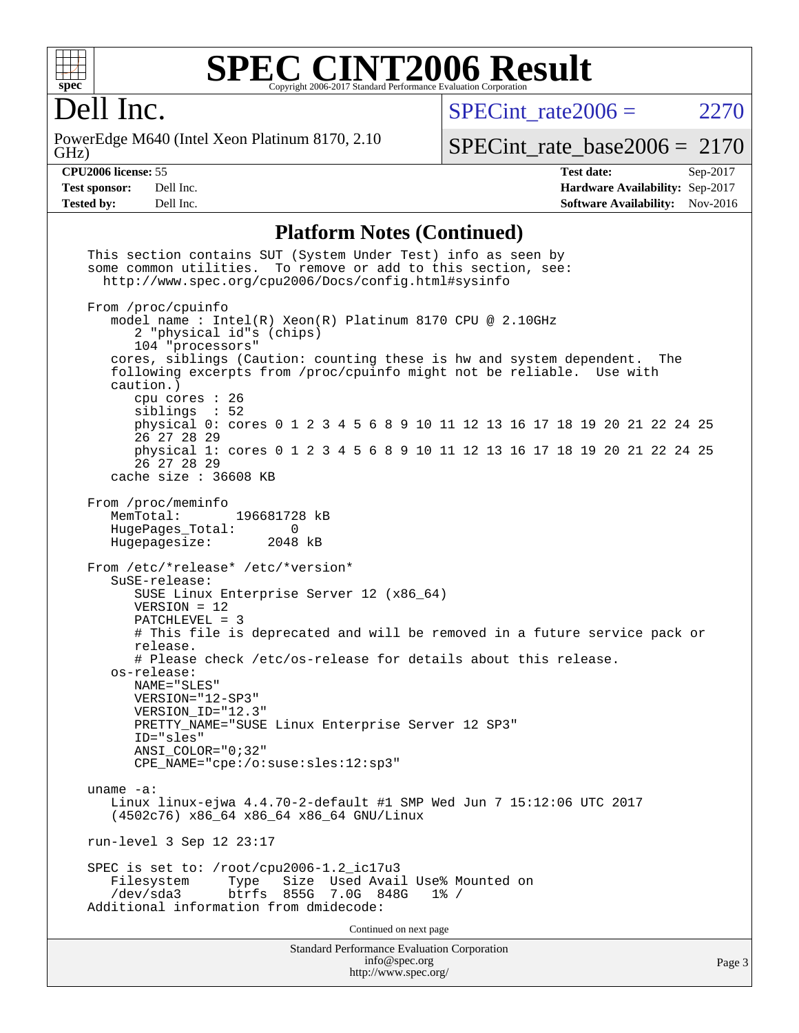

Dell Inc.

GHz) PowerEdge M640 (Intel Xeon Platinum 8170, 2.10  $SPECTnt_rate2006 = 2270$ 

[SPECint\\_rate\\_base2006 =](http://www.spec.org/auto/cpu2006/Docs/result-fields.html#SPECintratebase2006) 2170

**[CPU2006 license:](http://www.spec.org/auto/cpu2006/Docs/result-fields.html#CPU2006license)** 55 **[Test date:](http://www.spec.org/auto/cpu2006/Docs/result-fields.html#Testdate)** Sep-2017 **[Test sponsor:](http://www.spec.org/auto/cpu2006/Docs/result-fields.html#Testsponsor)** Dell Inc. **[Hardware Availability:](http://www.spec.org/auto/cpu2006/Docs/result-fields.html#HardwareAvailability)** Sep-2017 **[Tested by:](http://www.spec.org/auto/cpu2006/Docs/result-fields.html#Testedby)** Dell Inc. **[Software Availability:](http://www.spec.org/auto/cpu2006/Docs/result-fields.html#SoftwareAvailability)** Nov-2016

#### **[Platform Notes \(Continued\)](http://www.spec.org/auto/cpu2006/Docs/result-fields.html#PlatformNotes)**

| <b>Standard Performance Evaluation Corporation</b><br>info@spec.org<br>http://www.spec.org/                                                                                                                                                                                                                                                                                            | Page |
|----------------------------------------------------------------------------------------------------------------------------------------------------------------------------------------------------------------------------------------------------------------------------------------------------------------------------------------------------------------------------------------|------|
| Continued on next page                                                                                                                                                                                                                                                                                                                                                                 |      |
| SPEC is set to: /root/cpu2006-1.2_ic17u3<br>Size Used Avail Use% Mounted on<br>Filesystem<br>Type<br>855G<br>/dev/sda3<br>btrfs<br>7.0G 848G<br>$1\%$ /<br>Additional information from dmidecode:                                                                                                                                                                                      |      |
| run-level 3 Sep 12 23:17                                                                                                                                                                                                                                                                                                                                                               |      |
| uname $-a$ :<br>Linux linux-ejwa 4.4.70-2-default #1 SMP Wed Jun 7 15:12:06 UTC 2017<br>(4502c76) x86_64 x86_64 x86_64 GNU/Linux                                                                                                                                                                                                                                                       |      |
| $PATCHLEVEL = 3$<br># This file is deprecated and will be removed in a future service pack or<br>release.<br># Please check /etc/os-release for details about this release.<br>os-release:<br>NAME="SLES"<br>VERSION="12-SP3"<br>VERSION ID="12.3"<br>PRETTY_NAME="SUSE Linux Enterprise Server 12 SP3"<br>ID="sles"<br>$ANSI$ _COLOR=" $0:32$ "<br>CPE NAME="cpe:/o:suse:sles:12:sp3" |      |
| From /etc/*release* /etc/*version*<br>SuSE-release:<br>SUSE Linux Enterprise Server 12 (x86_64)<br>$VERSION = 12$                                                                                                                                                                                                                                                                      |      |
| From /proc/meminfo<br>MemTotal:<br>196681728 kB<br>HugePages_Total:<br>$\Omega$<br>Hugepagesize:<br>2048 kB                                                                                                                                                                                                                                                                            |      |
| physical 1: cores 0 1 2 3 4 5 6 8 9 10 11 12 13 16 17 18 19 20 21 22 24 25<br>26 27 28 29<br>cache size : 36608 KB                                                                                                                                                                                                                                                                     |      |
| caution.)<br>cpu cores $: 26$<br>siblings : 52<br>physical 0: cores 0 1 2 3 4 5 6 8 9 10 11 12 13 16 17 18 19 20 21 22 24 25<br>26 27 28 29                                                                                                                                                                                                                                            |      |
| From /proc/cpuinfo<br>model name: $Intel(R)$ Xeon $(R)$ Platinum 8170 CPU @ 2.10GHz<br>2 "physical id"s (chips)<br>104 "processors"<br>cores, siblings (Caution: counting these is hw and system dependent.<br>The<br>following excerpts from /proc/cpuinfo might not be reliable. Use with                                                                                            |      |
| This section contains SUT (System Under Test) info as seen by<br>some common utilities. To remove or add to this section, see:<br>http://www.spec.org/cpu2006/Docs/config.html#sysinfo                                                                                                                                                                                                 |      |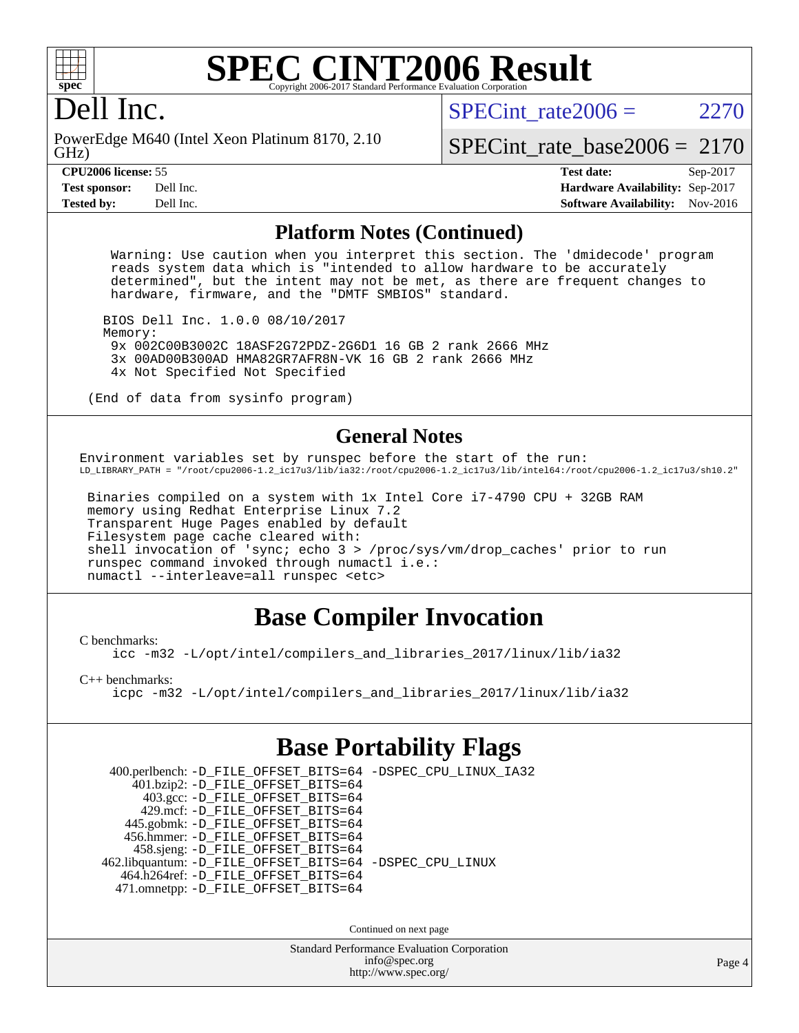

#### **[SPEC CINT2006 Result](http://www.spec.org/auto/cpu2006/Docs/result-fields.html#SPECCINT2006Result)** Copyright 2006-2017 Standard Performance Evaluation

### Dell Inc.

GHz) PowerEdge M640 (Intel Xeon Platinum 8170, 2.10 SPECint rate  $2006 = 2270$ 

[SPECint\\_rate\\_base2006 =](http://www.spec.org/auto/cpu2006/Docs/result-fields.html#SPECintratebase2006) 2170

**[CPU2006 license:](http://www.spec.org/auto/cpu2006/Docs/result-fields.html#CPU2006license)** 55 **[Test date:](http://www.spec.org/auto/cpu2006/Docs/result-fields.html#Testdate)** Sep-2017 **[Test sponsor:](http://www.spec.org/auto/cpu2006/Docs/result-fields.html#Testsponsor)** Dell Inc. **[Hardware Availability:](http://www.spec.org/auto/cpu2006/Docs/result-fields.html#HardwareAvailability)** Sep-2017 **[Tested by:](http://www.spec.org/auto/cpu2006/Docs/result-fields.html#Testedby)** Dell Inc. **[Software Availability:](http://www.spec.org/auto/cpu2006/Docs/result-fields.html#SoftwareAvailability)** Nov-2016

#### **[Platform Notes \(Continued\)](http://www.spec.org/auto/cpu2006/Docs/result-fields.html#PlatformNotes)**

 Warning: Use caution when you interpret this section. The 'dmidecode' program reads system data which is "intended to allow hardware to be accurately determined", but the intent may not be met, as there are frequent changes to hardware, firmware, and the "DMTF SMBIOS" standard.

 BIOS Dell Inc. 1.0.0 08/10/2017 Memory: 9x 002C00B3002C 18ASF2G72PDZ-2G6D1 16 GB 2 rank 2666 MHz 3x 00AD00B300AD HMA82GR7AFR8N-VK 16 GB 2 rank 2666 MHz 4x Not Specified Not Specified

(End of data from sysinfo program)

#### **[General Notes](http://www.spec.org/auto/cpu2006/Docs/result-fields.html#GeneralNotes)**

Environment variables set by runspec before the start of the run: LD\_LIBRARY\_PATH = "/root/cpu2006-1.2\_ic17u3/lib/ia32:/root/cpu2006-1.2\_ic17u3/lib/intel64:/root/cpu2006-1.2\_ic17u3/sh10.2"

 Binaries compiled on a system with 1x Intel Core i7-4790 CPU + 32GB RAM memory using Redhat Enterprise Linux 7.2 Transparent Huge Pages enabled by default Filesystem page cache cleared with: shell invocation of 'sync; echo 3 > /proc/sys/vm/drop\_caches' prior to run runspec command invoked through numactl i.e.: numactl --interleave=all runspec <etc>

### **[Base Compiler Invocation](http://www.spec.org/auto/cpu2006/Docs/result-fields.html#BaseCompilerInvocation)**

[C benchmarks](http://www.spec.org/auto/cpu2006/Docs/result-fields.html#Cbenchmarks):

[icc -m32 -L/opt/intel/compilers\\_and\\_libraries\\_2017/linux/lib/ia32](http://www.spec.org/cpu2006/results/res2017q4/cpu2006-20170918-49912.flags.html#user_CCbase_intel_icc_c29f3ff5a7ed067b11e4ec10a03f03ae)

[C++ benchmarks:](http://www.spec.org/auto/cpu2006/Docs/result-fields.html#CXXbenchmarks)

[icpc -m32 -L/opt/intel/compilers\\_and\\_libraries\\_2017/linux/lib/ia32](http://www.spec.org/cpu2006/results/res2017q4/cpu2006-20170918-49912.flags.html#user_CXXbase_intel_icpc_8c35c7808b62dab9ae41a1aa06361b6b)

### **[Base Portability Flags](http://www.spec.org/auto/cpu2006/Docs/result-fields.html#BasePortabilityFlags)**

 400.perlbench: [-D\\_FILE\\_OFFSET\\_BITS=64](http://www.spec.org/cpu2006/results/res2017q4/cpu2006-20170918-49912.flags.html#user_basePORTABILITY400_perlbench_file_offset_bits_64_438cf9856305ebd76870a2c6dc2689ab) [-DSPEC\\_CPU\\_LINUX\\_IA32](http://www.spec.org/cpu2006/results/res2017q4/cpu2006-20170918-49912.flags.html#b400.perlbench_baseCPORTABILITY_DSPEC_CPU_LINUX_IA32) 401.bzip2: [-D\\_FILE\\_OFFSET\\_BITS=64](http://www.spec.org/cpu2006/results/res2017q4/cpu2006-20170918-49912.flags.html#user_basePORTABILITY401_bzip2_file_offset_bits_64_438cf9856305ebd76870a2c6dc2689ab) 403.gcc: [-D\\_FILE\\_OFFSET\\_BITS=64](http://www.spec.org/cpu2006/results/res2017q4/cpu2006-20170918-49912.flags.html#user_basePORTABILITY403_gcc_file_offset_bits_64_438cf9856305ebd76870a2c6dc2689ab) 429.mcf: [-D\\_FILE\\_OFFSET\\_BITS=64](http://www.spec.org/cpu2006/results/res2017q4/cpu2006-20170918-49912.flags.html#user_basePORTABILITY429_mcf_file_offset_bits_64_438cf9856305ebd76870a2c6dc2689ab) 445.gobmk: [-D\\_FILE\\_OFFSET\\_BITS=64](http://www.spec.org/cpu2006/results/res2017q4/cpu2006-20170918-49912.flags.html#user_basePORTABILITY445_gobmk_file_offset_bits_64_438cf9856305ebd76870a2c6dc2689ab) 456.hmmer: [-D\\_FILE\\_OFFSET\\_BITS=64](http://www.spec.org/cpu2006/results/res2017q4/cpu2006-20170918-49912.flags.html#user_basePORTABILITY456_hmmer_file_offset_bits_64_438cf9856305ebd76870a2c6dc2689ab) 458.sjeng: [-D\\_FILE\\_OFFSET\\_BITS=64](http://www.spec.org/cpu2006/results/res2017q4/cpu2006-20170918-49912.flags.html#user_basePORTABILITY458_sjeng_file_offset_bits_64_438cf9856305ebd76870a2c6dc2689ab) 462.libquantum: [-D\\_FILE\\_OFFSET\\_BITS=64](http://www.spec.org/cpu2006/results/res2017q4/cpu2006-20170918-49912.flags.html#user_basePORTABILITY462_libquantum_file_offset_bits_64_438cf9856305ebd76870a2c6dc2689ab) [-DSPEC\\_CPU\\_LINUX](http://www.spec.org/cpu2006/results/res2017q4/cpu2006-20170918-49912.flags.html#b462.libquantum_baseCPORTABILITY_DSPEC_CPU_LINUX) 464.h264ref: [-D\\_FILE\\_OFFSET\\_BITS=64](http://www.spec.org/cpu2006/results/res2017q4/cpu2006-20170918-49912.flags.html#user_basePORTABILITY464_h264ref_file_offset_bits_64_438cf9856305ebd76870a2c6dc2689ab) 471.omnetpp: [-D\\_FILE\\_OFFSET\\_BITS=64](http://www.spec.org/cpu2006/results/res2017q4/cpu2006-20170918-49912.flags.html#user_basePORTABILITY471_omnetpp_file_offset_bits_64_438cf9856305ebd76870a2c6dc2689ab)

Continued on next page

Standard Performance Evaluation Corporation [info@spec.org](mailto:info@spec.org) <http://www.spec.org/>

Page 4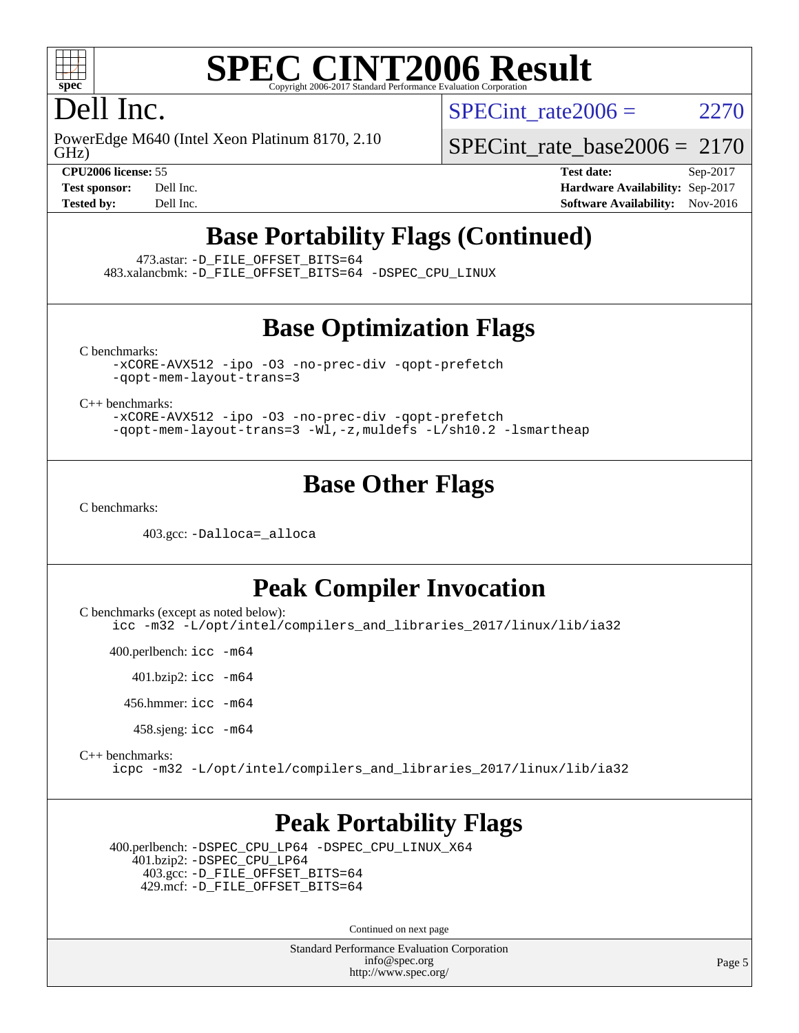

### Dell Inc.

GHz) PowerEdge M640 (Intel Xeon Platinum 8170, 2.10 SPECint rate  $2006 = 2270$ 

[SPECint\\_rate\\_base2006 =](http://www.spec.org/auto/cpu2006/Docs/result-fields.html#SPECintratebase2006) 2170

**[CPU2006 license:](http://www.spec.org/auto/cpu2006/Docs/result-fields.html#CPU2006license)** 55 **[Test date:](http://www.spec.org/auto/cpu2006/Docs/result-fields.html#Testdate)** Sep-2017 **[Test sponsor:](http://www.spec.org/auto/cpu2006/Docs/result-fields.html#Testsponsor)** Dell Inc. **[Hardware Availability:](http://www.spec.org/auto/cpu2006/Docs/result-fields.html#HardwareAvailability)** Sep-2017 **[Tested by:](http://www.spec.org/auto/cpu2006/Docs/result-fields.html#Testedby)** Dell Inc. **[Software Availability:](http://www.spec.org/auto/cpu2006/Docs/result-fields.html#SoftwareAvailability)** Nov-2016

### **[Base Portability Flags \(Continued\)](http://www.spec.org/auto/cpu2006/Docs/result-fields.html#BasePortabilityFlags)**

473.astar: [-D\\_FILE\\_OFFSET\\_BITS=64](http://www.spec.org/cpu2006/results/res2017q4/cpu2006-20170918-49912.flags.html#user_basePORTABILITY473_astar_file_offset_bits_64_438cf9856305ebd76870a2c6dc2689ab)

483.xalancbmk: [-D\\_FILE\\_OFFSET\\_BITS=64](http://www.spec.org/cpu2006/results/res2017q4/cpu2006-20170918-49912.flags.html#user_basePORTABILITY483_xalancbmk_file_offset_bits_64_438cf9856305ebd76870a2c6dc2689ab) [-DSPEC\\_CPU\\_LINUX](http://www.spec.org/cpu2006/results/res2017q4/cpu2006-20170918-49912.flags.html#b483.xalancbmk_baseCXXPORTABILITY_DSPEC_CPU_LINUX)

#### **[Base Optimization Flags](http://www.spec.org/auto/cpu2006/Docs/result-fields.html#BaseOptimizationFlags)**

[C benchmarks](http://www.spec.org/auto/cpu2006/Docs/result-fields.html#Cbenchmarks):

[-xCORE-AVX512](http://www.spec.org/cpu2006/results/res2017q4/cpu2006-20170918-49912.flags.html#user_CCbase_f-xCORE-AVX512) [-ipo](http://www.spec.org/cpu2006/results/res2017q4/cpu2006-20170918-49912.flags.html#user_CCbase_f-ipo) [-O3](http://www.spec.org/cpu2006/results/res2017q4/cpu2006-20170918-49912.flags.html#user_CCbase_f-O3) [-no-prec-div](http://www.spec.org/cpu2006/results/res2017q4/cpu2006-20170918-49912.flags.html#user_CCbase_f-no-prec-div) [-qopt-prefetch](http://www.spec.org/cpu2006/results/res2017q4/cpu2006-20170918-49912.flags.html#user_CCbase_f-qopt-prefetch) [-qopt-mem-layout-trans=3](http://www.spec.org/cpu2006/results/res2017q4/cpu2006-20170918-49912.flags.html#user_CCbase_f-qopt-mem-layout-trans_170f5be61cd2cedc9b54468c59262d5d)

[C++ benchmarks:](http://www.spec.org/auto/cpu2006/Docs/result-fields.html#CXXbenchmarks)

[-xCORE-AVX512](http://www.spec.org/cpu2006/results/res2017q4/cpu2006-20170918-49912.flags.html#user_CXXbase_f-xCORE-AVX512) [-ipo](http://www.spec.org/cpu2006/results/res2017q4/cpu2006-20170918-49912.flags.html#user_CXXbase_f-ipo) [-O3](http://www.spec.org/cpu2006/results/res2017q4/cpu2006-20170918-49912.flags.html#user_CXXbase_f-O3) [-no-prec-div](http://www.spec.org/cpu2006/results/res2017q4/cpu2006-20170918-49912.flags.html#user_CXXbase_f-no-prec-div) [-qopt-prefetch](http://www.spec.org/cpu2006/results/res2017q4/cpu2006-20170918-49912.flags.html#user_CXXbase_f-qopt-prefetch) [-qopt-mem-layout-trans=3](http://www.spec.org/cpu2006/results/res2017q4/cpu2006-20170918-49912.flags.html#user_CXXbase_f-qopt-mem-layout-trans_170f5be61cd2cedc9b54468c59262d5d) [-Wl,-z,muldefs](http://www.spec.org/cpu2006/results/res2017q4/cpu2006-20170918-49912.flags.html#user_CXXbase_link_force_multiple1_74079c344b956b9658436fd1b6dd3a8a) [-L/sh10.2 -lsmartheap](http://www.spec.org/cpu2006/results/res2017q4/cpu2006-20170918-49912.flags.html#user_CXXbase_SmartHeap_b831f2d313e2fffa6dfe3f00ffc1f1c0)

#### **[Base Other Flags](http://www.spec.org/auto/cpu2006/Docs/result-fields.html#BaseOtherFlags)**

[C benchmarks](http://www.spec.org/auto/cpu2006/Docs/result-fields.html#Cbenchmarks):

403.gcc: [-Dalloca=\\_alloca](http://www.spec.org/cpu2006/results/res2017q4/cpu2006-20170918-49912.flags.html#b403.gcc_baseEXTRA_CFLAGS_Dalloca_be3056838c12de2578596ca5467af7f3)

#### **[Peak Compiler Invocation](http://www.spec.org/auto/cpu2006/Docs/result-fields.html#PeakCompilerInvocation)**

[C benchmarks \(except as noted below\)](http://www.spec.org/auto/cpu2006/Docs/result-fields.html#Cbenchmarksexceptasnotedbelow):

[icc -m32 -L/opt/intel/compilers\\_and\\_libraries\\_2017/linux/lib/ia32](http://www.spec.org/cpu2006/results/res2017q4/cpu2006-20170918-49912.flags.html#user_CCpeak_intel_icc_c29f3ff5a7ed067b11e4ec10a03f03ae)

400.perlbench: [icc -m64](http://www.spec.org/cpu2006/results/res2017q4/cpu2006-20170918-49912.flags.html#user_peakCCLD400_perlbench_intel_icc_64bit_bda6cc9af1fdbb0edc3795bac97ada53)

401.bzip2: [icc -m64](http://www.spec.org/cpu2006/results/res2017q4/cpu2006-20170918-49912.flags.html#user_peakCCLD401_bzip2_intel_icc_64bit_bda6cc9af1fdbb0edc3795bac97ada53)

456.hmmer: [icc -m64](http://www.spec.org/cpu2006/results/res2017q4/cpu2006-20170918-49912.flags.html#user_peakCCLD456_hmmer_intel_icc_64bit_bda6cc9af1fdbb0edc3795bac97ada53)

458.sjeng: [icc -m64](http://www.spec.org/cpu2006/results/res2017q4/cpu2006-20170918-49912.flags.html#user_peakCCLD458_sjeng_intel_icc_64bit_bda6cc9af1fdbb0edc3795bac97ada53)

[C++ benchmarks:](http://www.spec.org/auto/cpu2006/Docs/result-fields.html#CXXbenchmarks)

[icpc -m32 -L/opt/intel/compilers\\_and\\_libraries\\_2017/linux/lib/ia32](http://www.spec.org/cpu2006/results/res2017q4/cpu2006-20170918-49912.flags.html#user_CXXpeak_intel_icpc_8c35c7808b62dab9ae41a1aa06361b6b)

#### **[Peak Portability Flags](http://www.spec.org/auto/cpu2006/Docs/result-fields.html#PeakPortabilityFlags)**

 400.perlbench: [-DSPEC\\_CPU\\_LP64](http://www.spec.org/cpu2006/results/res2017q4/cpu2006-20170918-49912.flags.html#b400.perlbench_peakCPORTABILITY_DSPEC_CPU_LP64) [-DSPEC\\_CPU\\_LINUX\\_X64](http://www.spec.org/cpu2006/results/res2017q4/cpu2006-20170918-49912.flags.html#b400.perlbench_peakCPORTABILITY_DSPEC_CPU_LINUX_X64) 401.bzip2: [-DSPEC\\_CPU\\_LP64](http://www.spec.org/cpu2006/results/res2017q4/cpu2006-20170918-49912.flags.html#suite_peakCPORTABILITY401_bzip2_DSPEC_CPU_LP64) 403.gcc: [-D\\_FILE\\_OFFSET\\_BITS=64](http://www.spec.org/cpu2006/results/res2017q4/cpu2006-20170918-49912.flags.html#user_peakPORTABILITY403_gcc_file_offset_bits_64_438cf9856305ebd76870a2c6dc2689ab) 429.mcf: [-D\\_FILE\\_OFFSET\\_BITS=64](http://www.spec.org/cpu2006/results/res2017q4/cpu2006-20170918-49912.flags.html#user_peakPORTABILITY429_mcf_file_offset_bits_64_438cf9856305ebd76870a2c6dc2689ab)

Continued on next page

Standard Performance Evaluation Corporation [info@spec.org](mailto:info@spec.org) <http://www.spec.org/>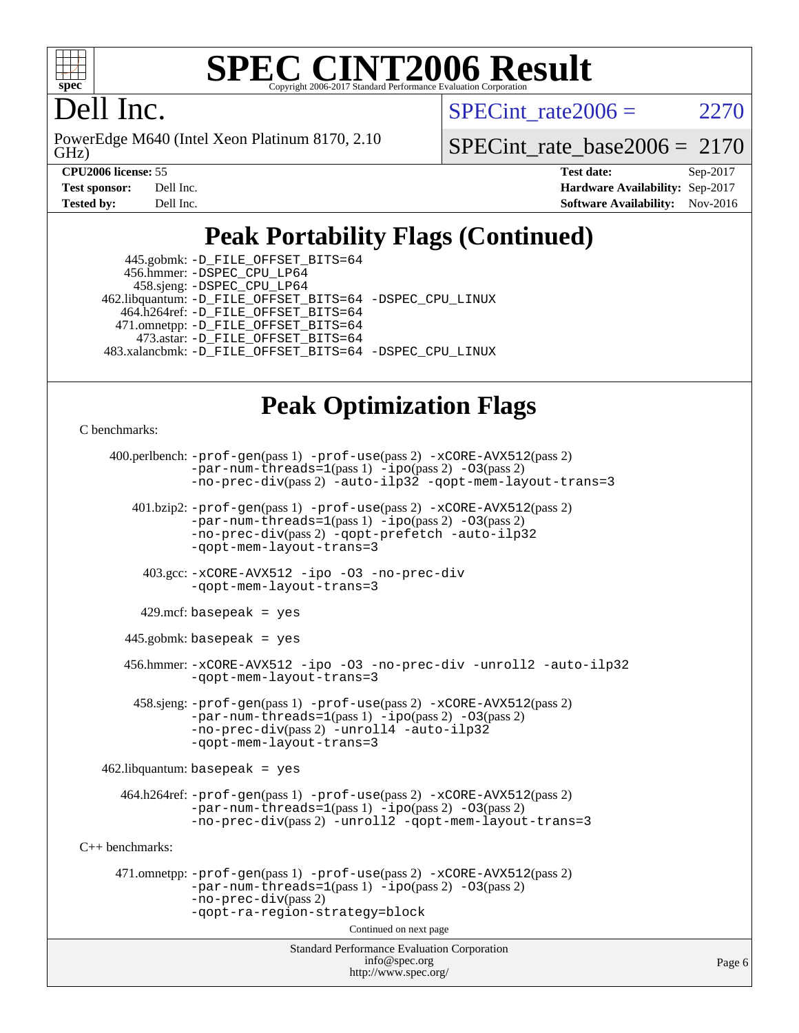

#### **[SPEC CINT2006 Result](http://www.spec.org/auto/cpu2006/Docs/result-fields.html#SPECCINT2006Result)** Copyright 2006-2017 Standard Performance Evaluation C

### Dell Inc.

GHz) PowerEdge M640 (Intel Xeon Platinum 8170, 2.10 SPECint rate  $2006 = 2270$ 

[SPECint\\_rate\\_base2006 =](http://www.spec.org/auto/cpu2006/Docs/result-fields.html#SPECintratebase2006) 2170

**[CPU2006 license:](http://www.spec.org/auto/cpu2006/Docs/result-fields.html#CPU2006license)** 55 **[Test date:](http://www.spec.org/auto/cpu2006/Docs/result-fields.html#Testdate)** Sep-2017 **[Test sponsor:](http://www.spec.org/auto/cpu2006/Docs/result-fields.html#Testsponsor)** Dell Inc. **[Hardware Availability:](http://www.spec.org/auto/cpu2006/Docs/result-fields.html#HardwareAvailability)** Sep-2017 **[Tested by:](http://www.spec.org/auto/cpu2006/Docs/result-fields.html#Testedby)** Dell Inc. **[Software Availability:](http://www.spec.org/auto/cpu2006/Docs/result-fields.html#SoftwareAvailability)** Nov-2016

### **[Peak Portability Flags \(Continued\)](http://www.spec.org/auto/cpu2006/Docs/result-fields.html#PeakPortabilityFlags)**

| 445.gobmk: -D_FILE_OFFSET_BITS=64                       |
|---------------------------------------------------------|
|                                                         |
|                                                         |
| 462.libquantum: -D_FILE_OFFSET_BITS=64 -DSPEC_CPU_LINUX |
| 464.h264ref: -D_FILE_OFFSET_BITS=64                     |
| 471.omnetpp: -D_FILE_OFFSET_BITS=64                     |
| 473.astar: -D FILE OFFSET BITS=64                       |
| 483.xalancbmk: -D_FILE_OFFSET_BITS=64 -DSPEC_CPU_LINUX  |
|                                                         |

### **[Peak Optimization Flags](http://www.spec.org/auto/cpu2006/Docs/result-fields.html#PeakOptimizationFlags)**

[C benchmarks](http://www.spec.org/auto/cpu2006/Docs/result-fields.html#Cbenchmarks):

```
Standard Performance Evaluation Corporation
                                        info@spec.org
     400.perlbench: -prof-gen(pass 1) -prof-use(pass 2) -xCORE-AVX512(pass 2)
                -par-num-threads=1(pass 1) -ipo(pass 2) -O3(pass 2)
                -no-prec-div(pass 2) -auto-ilp32 -qopt-mem-layout-trans=3
        401.bzip2: -prof-gen(pass 1) -prof-use(pass 2) -xCORE-AVX512(pass 2)
                -par-num-threads=1(pass 1) -ipo(pass 2) -O3(pass 2)
                -no-prec-div(pass 2) -qopt-prefetch -auto-ilp32
                -qopt-mem-layout-trans=3
          403.gcc: -xCORE-AVX512 -ipo -O3 -no-prec-div
                -qopt-mem-layout-trans=3
        429.mcf: basepeak = yes
       445.gobmk: basepeak = yes
       456.hmmer: -xCORE-AVX512 -ipo -O3 -no-prec-div -unroll2 -auto-ilp32
                -qopt-mem-layout-trans=3
        458.sjeng: -prof-gen(pass 1) -prof-use(pass 2) -xCORE-AVX512(pass 2)
                -par-num-threads=1(pass 1) -ipo(pass 2) -O3(pass 2)
                -no-prec-div-unroll4-auto-ilp32
                -qopt-mem-layout-trans=3
   462.libquantum: basepeak = yes
      464.h264ref: -prof-gen(pass 1) -prof-use(pass 2) -xCORE-AVX512(pass 2)
                -par-num-threads=1-ipo-O3(pass 2)-no-prec-div(pass 2) -unroll2 -qopt-mem-layout-trans=3
C++ benchmarks: 
      471.omnetpp: -prof-gen(pass 1) -prof-use(pass 2) -xCORE-AVX512(pass 2)
                -par-num-threads=1-ipo-O3(pass 2)-no-prec-div(pass 2)
                -qopt-ra-region-strategy=block 
                                      Continued on next page
```
<http://www.spec.org/>